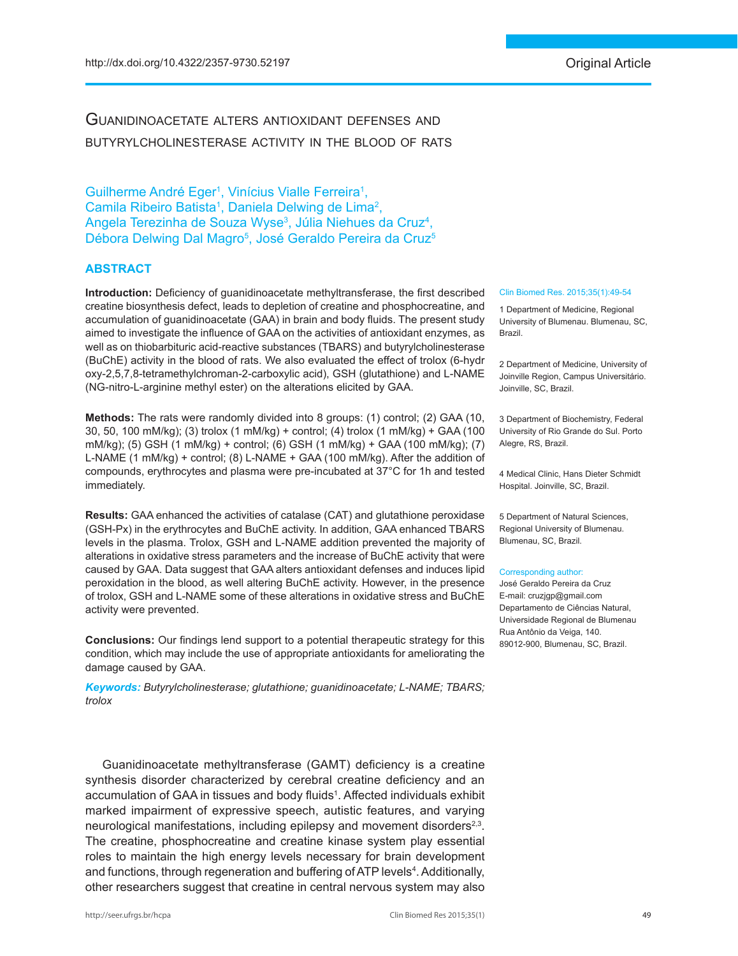# Guanidinoacetate alters antioxidant defenses and butyrylcholinesterase activity in the blood of rats

Guilherme André Eger<sup>1</sup>, Vinícius Vialle Ferreira<sup>1</sup>, Camila Ribeiro Batista<sup>1</sup>, Daniela Delwing de Lima<sup>2</sup>, Angela Terezinha de Souza Wyse<sup>3</sup>, Júlia Niehues da Cruz<sup>4</sup>, Débora Delwing Dal Magro<sup>5</sup>, José Geraldo Pereira da Cruz<sup>5</sup>

#### **ABSTRACT**

**Introduction:** Deficiency of guanidinoacetate methyltransferase, the first described creatine biosynthesis defect, leads to depletion of creatine and phosphocreatine, and accumulation of guanidinoacetate (GAA) in brain and body fluids. The present study aimed to investigate the influence of GAA on the activities of antioxidant enzymes, as well as on thiobarbituric acid-reactive substances (TBARS) and butyrylcholinesterase (BuChE) activity in the blood of rats. We also evaluated the effect of trolox (6-hydr oxy-2,5,7,8-tetramethylchroman-2-carboxylic acid), GSH (glutathione) and L-NAME (NG-nitro-L-arginine methyl ester) on the alterations elicited by GAA.

**Methods:** The rats were randomly divided into 8 groups: (1) control; (2) GAA (10, 30, 50, 100 mM/kg); (3) trolox (1 mM/kg) + control; (4) trolox (1 mM/kg) + GAA (100 mM/kg); (5) GSH (1 mM/kg) + control; (6) GSH (1 mM/kg) + GAA (100 mM/kg); (7) L-NAME (1 mM/kg) + control; (8) L-NAME + GAA (100 mM/kg). After the addition of compounds, erythrocytes and plasma were pre-incubated at 37°C for 1h and tested immediately.

**Results:** GAA enhanced the activities of catalase (CAT) and glutathione peroxidase (GSH-Px) in the erythrocytes and BuChE activity. In addition, GAA enhanced TBARS levels in the plasma. Trolox, GSH and L-NAME addition prevented the majority of alterations in oxidative stress parameters and the increase of BuChE activity that were caused by GAA. Data suggest that GAA alters antioxidant defenses and induces lipid peroxidation in the blood, as well altering BuChE activity. However, in the presence of trolox, GSH and L-NAME some of these alterations in oxidative stress and BuChE activity were prevented.

**Conclusions:** Our findings lend support to a potential therapeutic strategy for this condition, which may include the use of appropriate antioxidants for ameliorating the damage caused by GAA.

*Keywords: Butyrylcholinesterase; glutathione; guanidinoacetate; L-NAME; TBARS; trolox*

Guanidinoacetate methyltransferase (GAMT) deficiency is a creatine synthesis disorder characterized by cerebral creatine deficiency and an accumulation of GAA in tissues and body fluids<sup>1</sup>. Affected individuals exhibit marked impairment of expressive speech, autistic features, and varying neurological manifestations, including epilepsy and movement disorders<sup>2,3</sup>. The creatine, phosphocreatine and creatine kinase system play essential roles to maintain the high energy levels necessary for brain development and functions, through regeneration and buffering of ATP levels<sup>4</sup>. Additionally, other researchers suggest that creatine in central nervous system may also

#### Clin Biomed Res. 2015;35(1):49-54

1 Department of Medicine, Regional University of Blumenau. Blumenau, SC, Brazil.

2 Department of Medicine, University of Joinville Region, Campus Universitário. Joinville, SC, Brazil.

3 Department of Biochemistry, Federal University of Rio Grande do Sul. Porto Alegre, RS, Brazil.

4 Medical Clinic, Hans Dieter Schmidt Hospital. Joinville, SC, Brazil.

5 Department of Natural Sciences, Regional University of Blumenau. Blumenau, SC, Brazil.

#### Corresponding author:

José Geraldo Pereira da Cruz E-mail: cruzjgp@gmail.com Departamento de Ciências Natural, Universidade Regional de Blumenau Rua Antônio da Veiga, 140. 89012-900, Blumenau, SC, Brazil.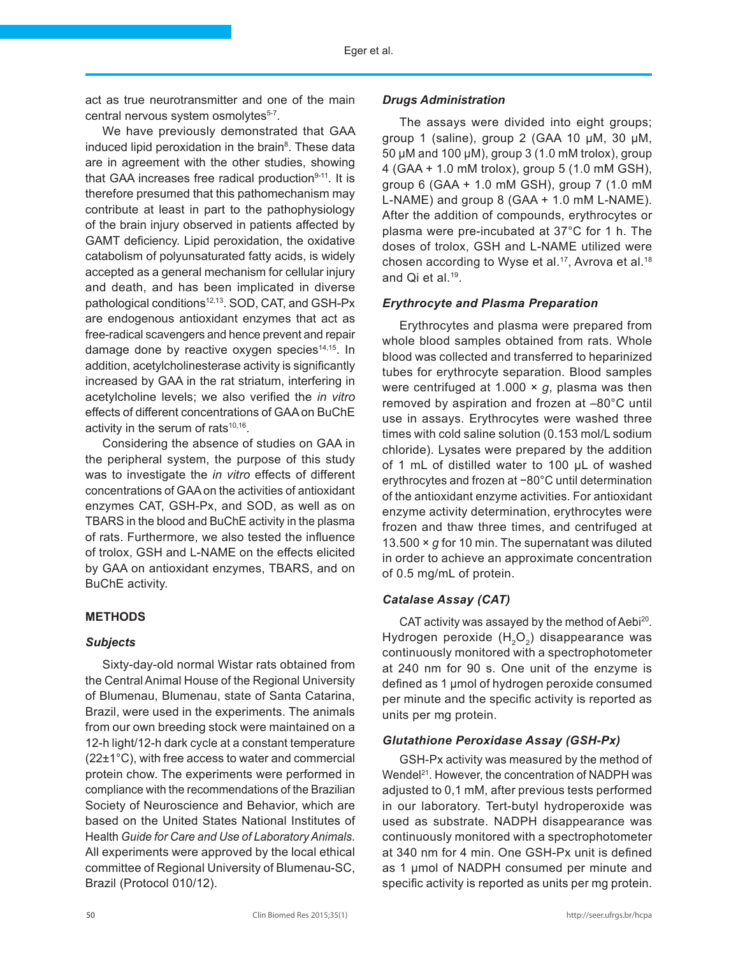act as true neurotransmitter and one of the main central nervous system osmolytes<sup>5-7</sup>.

We have previously demonstrated that GAA induced lipid peroxidation in the brain<sup>8</sup>. These data are in agreement with the other studies, showing that GAA increases free radical production $9-11$ . It is therefore presumed that this pathomechanism may contribute at least in part to the pathophysiology of the brain injury observed in patients affected by GAMT deficiency. Lipid peroxidation, the oxidative catabolism of polyunsaturated fatty acids, is widely accepted as a general mechanism for cellular injury and death, and has been implicated in diverse pathological conditions<sup>12,13</sup>. SOD, CAT, and GSH-Px are endogenous antioxidant enzymes that act as free-radical scavengers and hence prevent and repair damage done by reactive oxygen species $14,15$ . In addition, acetylcholinesterase activity is significantly increased by GAA in the rat striatum, interfering in acetylcholine levels; we also verified the *in vitro* effects of different concentrations of GAA on BuChE activity in the serum of rats<sup>10,16</sup>.

Considering the absence of studies on GAA in the peripheral system, the purpose of this study was to investigate the *in vitro* effects of different concentrations of GAA on the activities of antioxidant enzymes CAT, GSH-Px, and SOD, as well as on TBARS in the blood and BuChE activity in the plasma of rats. Furthermore, we also tested the influence of trolox, GSH and L-NAME on the effects elicited by GAA on antioxidant enzymes, TBARS, and on BuChE activity.

# **METHODS**

## *Subjects*

Sixty-day-old normal Wistar rats obtained from the Central Animal House of the Regional University of Blumenau, Blumenau, state of Santa Catarina, Brazil, were used in the experiments. The animals from our own breeding stock were maintained on a 12-h light/12-h dark cycle at a constant temperature (22±1°C), with free access to water and commercial protein chow. The experiments were performed in compliance with the recommendations of the Brazilian Society of Neuroscience and Behavior, which are based on the United States National Institutes of Health *Guide for Care and Use of Laboratory Animals*. All experiments were approved by the local ethical committee of Regional University of Blumenau-SC, Brazil (Protocol 010/12).

#### *Drugs Administration*

The assays were divided into eight groups; group 1 (saline), group 2 (GAA 10 μM, 30 μM, 50 μM and 100 μM), group 3 (1.0 mM trolox), group 4 (GAA + 1.0 mM trolox), group 5 (1.0 mM GSH), group 6 (GAA + 1.0 mM GSH), group 7 (1.0 mM L-NAME) and group 8 (GAA + 1.0 mM L-NAME). After the addition of compounds, erythrocytes or plasma were pre-incubated at 37°C for 1 h. The doses of trolox, GSH and L-NAME utilized were chosen according to Wyse et al.<sup>17</sup>, Avrova et al.<sup>18</sup> and Qi et al.19.

## *Erythrocyte and Plasma Preparation*

Erythrocytes and plasma were prepared from whole blood samples obtained from rats. Whole blood was collected and transferred to heparinized tubes for erythrocyte separation. Blood samples were centrifuged at 1.000 × *g*, plasma was then removed by aspiration and frozen at –80°C until use in assays. Erythrocytes were washed three times with cold saline solution (0.153 mol/L sodium chloride). Lysates were prepared by the addition of 1 mL of distilled water to 100 μL of washed erythrocytes and frozen at −80°C until determination of the antioxidant enzyme activities. For antioxidant enzyme activity determination, erythrocytes were frozen and thaw three times, and centrifuged at 13.500 × *g* for 10 min. The supernatant was diluted in order to achieve an approximate concentration of 0.5 mg/mL of protein.

# *Catalase Assay (CAT)*

CAT activity was assayed by the method of Aebi<sup>20</sup>. Hydrogen peroxide  $(H<sub>2</sub>O<sub>2</sub>)$  disappearance was continuously monitored with a spectrophotometer at 240 nm for 90 s. One unit of the enzyme is defined as 1 µmol of hydrogen peroxide consumed per minute and the specific activity is reported as units per mg protein.

# *Glutathione Peroxidase Assay (GSH-Px)*

GSH-Px activity was measured by the method of Wendel<sup>21</sup>. However, the concentration of NADPH was adjusted to 0,1 mM, after previous tests performed in our laboratory. Tert-butyl hydroperoxide was used as substrate. NADPH disappearance was continuously monitored with a spectrophotometer at 340 nm for 4 min. One GSH-Px unit is defined as 1 µmol of NADPH consumed per minute and specific activity is reported as units per mg protein.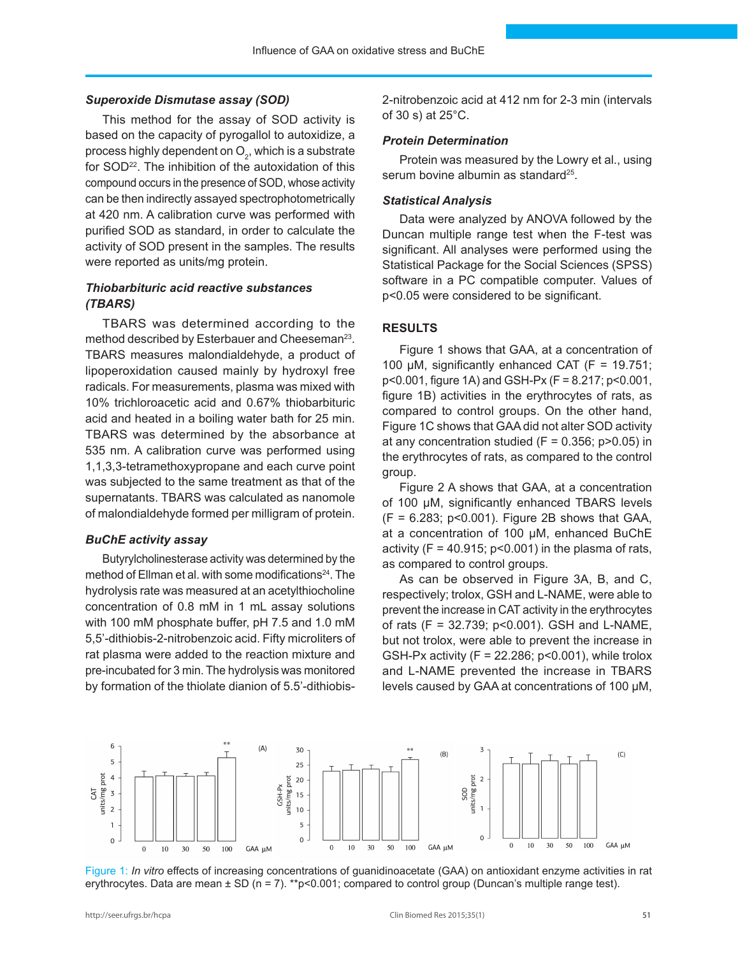#### *Superoxide Dismutase assay (SOD)*

This method for the assay of SOD activity is based on the capacity of pyrogallol to autoxidize, a process highly dependent on  $\mathsf{O}_2$ , which is a substrate for SOD<sup>22</sup>. The inhibition of the autoxidation of this compound occurs in the presence of SOD, whose activity can be then indirectly assayed spectrophotometrically at 420 nm. A calibration curve was performed with purified SOD as standard, in order to calculate the activity of SOD present in the samples. The results were reported as units/mg protein.

# *Thiobarbituric acid reactive substances (TBARS)*

TBARS was determined according to the method described by Esterbauer and Cheeseman<sup>23</sup>. TBARS measures malondialdehyde, a product of lipoperoxidation caused mainly by hydroxyl free radicals. For measurements, plasma was mixed with 10% trichloroacetic acid and 0.67% thiobarbituric acid and heated in a boiling water bath for 25 min. TBARS was determined by the absorbance at 535 nm. A calibration curve was performed using 1,1,3,3-tetramethoxypropane and each curve point was subjected to the same treatment as that of the supernatants. TBARS was calculated as nanomole of malondialdehyde formed per milligram of protein.

#### *BuChE activity assay*

Butyrylcholinesterase activity was determined by the method of Ellman et al. with some modifications<sup>24</sup>. The hydrolysis rate was measured at an acetylthiocholine concentration of 0.8 mM in 1 mL assay solutions with 100 mM phosphate buffer, pH 7.5 and 1.0 mM 5,5'-dithiobis-2-nitrobenzoic acid. Fifty microliters of rat plasma were added to the reaction mixture and pre-incubated for 3 min. The hydrolysis was monitored by formation of the thiolate dianion of 5.5'-dithiobis2-nitrobenzoic acid at 412 nm for 2-3 min (intervals of 30 s) at 25°C.

#### *Protein Determination*

Protein was measured by the Lowry et al., using serum bovine albumin as standard<sup>25</sup>.

#### *Statistical Analysis*

Data were analyzed by ANOVA followed by the Duncan multiple range test when the F-test was significant. All analyses were performed using the Statistical Package for the Social Sciences (SPSS) software in a PC compatible computer. Values of p<0.05 were considered to be significant.

## **RESULTS**

Figure 1 shows that GAA, at a concentration of 100  $\mu$ M, significantly enhanced CAT (F = 19.751; p<0.001, figure 1A) and GSH-Px (F = 8.217; p<0.001, figure 1B) activities in the erythrocytes of rats, as compared to control groups. On the other hand, Figure 1C shows that GAA did not alter SOD activity at any concentration studied ( $F = 0.356$ ;  $p > 0.05$ ) in the erythrocytes of rats, as compared to the control group.

Figure 2 A shows that GAA, at a concentration of 100 µM, significantly enhanced TBARS levels  $(F = 6.283; p < 0.001)$ . Figure 2B shows that GAA, at a concentration of 100 µM, enhanced BuChE activity ( $F = 40.915$ ;  $p < 0.001$ ) in the plasma of rats, as compared to control groups.

As can be observed in Figure 3A, B, and C, respectively; trolox, GSH and L-NAME, were able to prevent the increase in CAT activity in the erythrocytes of rats (F = 32.739; p<0.001). GSH and L-NAME, but not trolox, were able to prevent the increase in GSH-Px activity  $(F = 22.286; p < 0.001)$ , while trolox and L-NAME prevented the increase in TBARS levels caused by GAA at concentrations of 100 µM,



Figure 1: *In vitro* effects of increasing concentrations of guanidinoacetate (GAA) on antioxidant enzyme activities in rat erythrocytes. Data are mean  $\pm$  SD (n = 7). \*\*p<0.001; compared to control group (Duncan's multiple range test).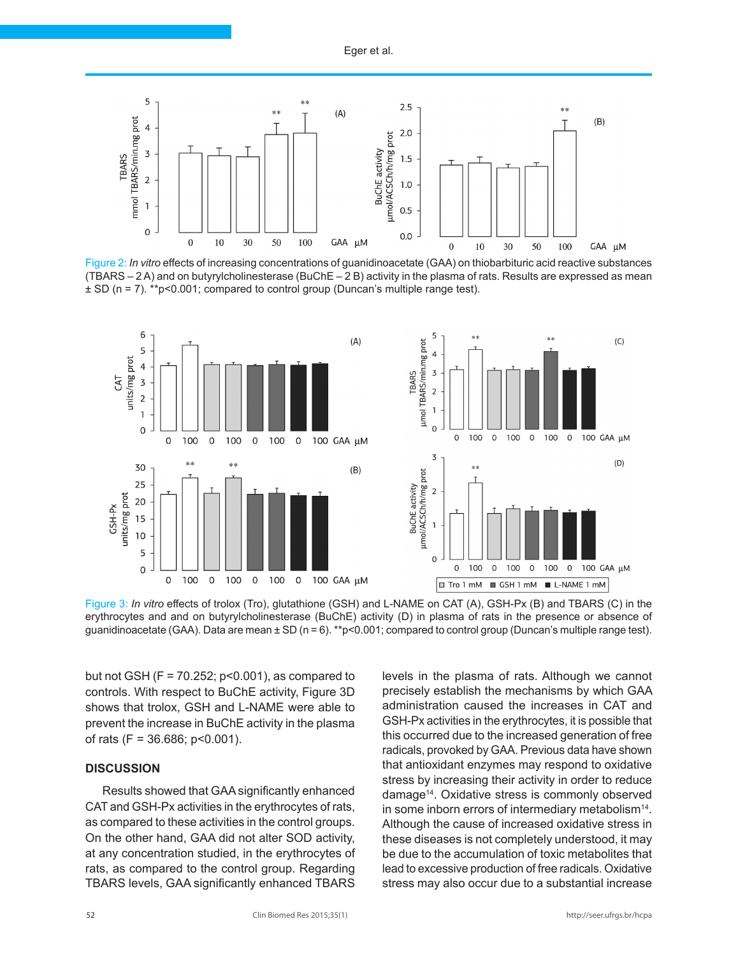

Figure 2: *In vitro* effects of increasing concentrations of guanidinoacetate (GAA) on thiobarbituric acid reactive substances (TBARS – 2 A) and on butyrylcholinesterase (BuChE – 2 B) activity in the plasma of rats. Results are expressed as mean ± SD (n = 7). \*\*p<0.001; compared to control group (Duncan's multiple range test).



Figure 3: *In vitro* effects of trolox (Tro), glutathione (GSH) and L-NAME on CAT (A), GSH-Px (B) and TBARS (C) in the erythrocytes and and on butyrylcholinesterase (BuChE) activity (D) in plasma of rats in the presence or absence of guanidinoacetate (GAA). Data are mean ± SD (n = 6). \*\*p<0.001; compared to control group (Duncan's multiple range test).

but not GSH ( $F = 70.252$ ;  $p < 0.001$ ), as compared to controls. With respect to BuChE activity, Figure 3D shows that trolox, GSH and L-NAME were able to prevent the increase in BuChE activity in the plasma of rats  $(F = 36.686; p < 0.001)$ .

## **DISCUSSION**

Results showed that GAA significantly enhanced CAT and GSH-Px activities in the erythrocytes of rats, as compared to these activities in the control groups. On the other hand, GAA did not alter SOD activity, at any concentration studied, in the erythrocytes of rats, as compared to the control group. Regarding TBARS levels, GAA significantly enhanced TBARS

levels in the plasma of rats. Although we cannot precisely establish the mechanisms by which GAA administration caused the increases in CAT and GSH-Px activities in the erythrocytes, it is possible that this occurred due to the increased generation of free radicals, provoked by GAA. Previous data have shown that antioxidant enzymes may respond to oxidative stress by increasing their activity in order to reduce damage14. Oxidative stress is commonly observed in some inborn errors of intermediary metabolism<sup>14</sup>. Although the cause of increased oxidative stress in these diseases is not completely understood, it may be due to the accumulation of toxic metabolites that lead to excessive production of free radicals. Oxidative stress may also occur due to a substantial increase

 $(C)$ 

 $(D)$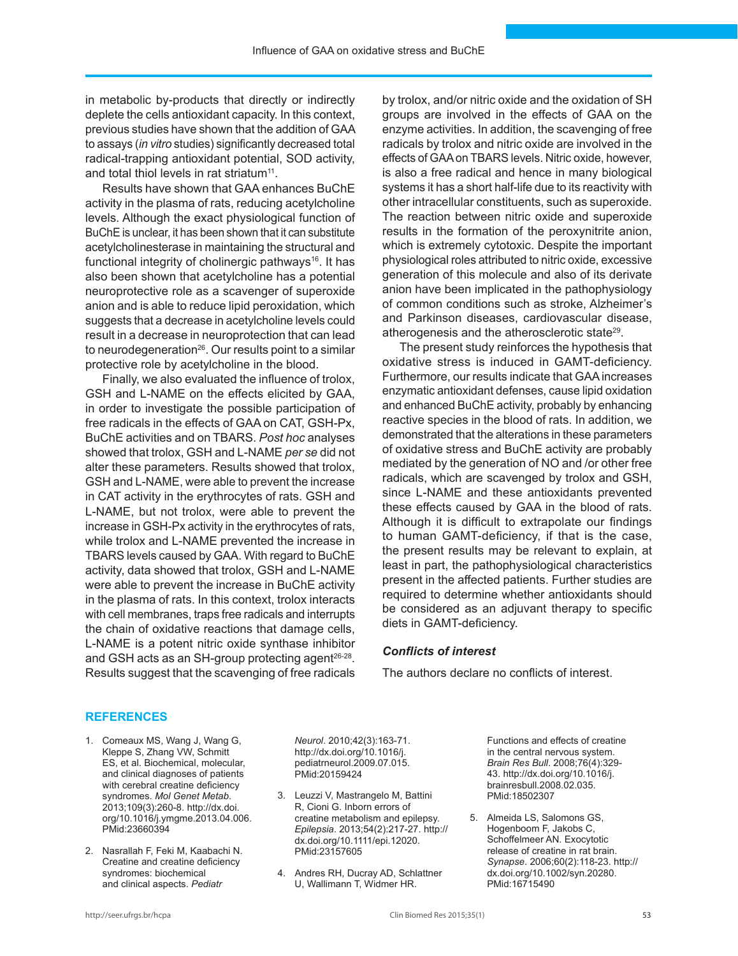in metabolic by-products that directly or indirectly deplete the cells antioxidant capacity. In this context, previous studies have shown that the addition of GAA to assays (*in vitro* studies) significantly decreased total radical-trapping antioxidant potential, SOD activity, and total thiol levels in rat striatum<sup>11</sup>.

Results have shown that GAA enhances BuChE activity in the plasma of rats, reducing acetylcholine levels. Although the exact physiological function of BuChE is unclear, it has been shown that it can substitute acetylcholinesterase in maintaining the structural and functional integrity of cholinergic pathways<sup>16</sup>. It has also been shown that acetylcholine has a potential neuroprotective role as a scavenger of superoxide anion and is able to reduce lipid peroxidation, which suggests that a decrease in acetylcholine levels could result in a decrease in neuroprotection that can lead to neurodegeneration $26$ . Our results point to a similar protective role by acetylcholine in the blood.

Finally, we also evaluated the influence of trolox, GSH and L-NAME on the effects elicited by GAA, in order to investigate the possible participation of free radicals in the effects of GAA on CAT, GSH-Px, BuChE activities and on TBARS. *Post hoc* analyses showed that trolox, GSH and L-NAME *per se* did not alter these parameters. Results showed that trolox, GSH and L-NAME, were able to prevent the increase in CAT activity in the erythrocytes of rats. GSH and L-NAME, but not trolox, were able to prevent the increase in GSH-Px activity in the erythrocytes of rats, while trolox and L-NAME prevented the increase in TBARS levels caused by GAA. With regard to BuChE activity, data showed that trolox, GSH and L-NAME were able to prevent the increase in BuChE activity in the plasma of rats. In this context, trolox interacts with cell membranes, traps free radicals and interrupts the chain of oxidative reactions that damage cells, L-NAME is a potent nitric oxide synthase inhibitor and GSH acts as an SH-group protecting agent<sup>26-28</sup>. Results suggest that the scavenging of free radicals by trolox, and/or nitric oxide and the oxidation of SH groups are involved in the effects of GAA on the enzyme activities. In addition, the scavenging of free radicals by trolox and nitric oxide are involved in the effects of GAA on TBARS levels. Nitric oxide, however, is also a free radical and hence in many biological systems it has a short half-life due to its reactivity with other intracellular constituents, such as superoxide. The reaction between nitric oxide and superoxide results in the formation of the peroxynitrite anion, which is extremely cytotoxic. Despite the important physiological roles attributed to nitric oxide, excessive generation of this molecule and also of its derivate anion have been implicated in the pathophysiology of common conditions such as stroke, Alzheimer's and Parkinson diseases, cardiovascular disease, atherogenesis and the atherosclerotic state29.

The present study reinforces the hypothesis that oxidative stress is induced in GAMT-deficiency. Furthermore, our results indicate that GAA increases enzymatic antioxidant defenses, cause lipid oxidation and enhanced BuChE activity, probably by enhancing reactive species in the blood of rats. In addition, we demonstrated that the alterations in these parameters of oxidative stress and BuChE activity are probably mediated by the generation of NO and /or other free radicals, which are scavenged by trolox and GSH, since L-NAME and these antioxidants prevented these effects caused by GAA in the blood of rats. Although it is difficult to extrapolate our findings to human GAMT-deficiency, if that is the case, the present results may be relevant to explain, at least in part, the pathophysiological characteristics present in the affected patients. Further studies are required to determine whether antioxidants should be considered as an adjuvant therapy to specific diets in GAMT-deficiency.

#### *Conflicts of interest*

The authors declare no conflicts of interest.

#### **REFERENCES**

- 1. Comeaux MS, Wang J, Wang G, Kleppe S, Zhang VW, Schmitt ES, et al. Biochemical, molecular, and clinical diagnoses of patients with cerebral creatine deficiency syndromes. *Mol Genet Metab*. 2013;109(3):260-8. [http://dx.doi.](http://dx.doi.org/10.1016/j.ymgme.2013.04.006) [org/10.1016/j.ymgme.2013.04.006](http://dx.doi.org/10.1016/j.ymgme.2013.04.006)[.](http://www.ncbi.nlm.nih.gov/entrez/query.fcgi?cmd=Retrieve&db=PubMed&list_uids=23660394&dopt=Abstract) [PMid:23660394](http://www.ncbi.nlm.nih.gov/entrez/query.fcgi?cmd=Retrieve&db=PubMed&list_uids=23660394&dopt=Abstract)
- 2. Nasrallah F, Feki M, Kaabachi N. Creatine and creatine deficiency syndromes: biochemical and clinical aspects. *Pediatr*

*Neurol*. 2010;42(3):163-71. [http://dx.doi.org/10.1016/j.](http://dx.doi.org/10.1016/j.pediatrneurol.2009.07.015) [pediatrneurol.2009.07.015](http://dx.doi.org/10.1016/j.pediatrneurol.2009.07.015)[.](http://www.ncbi.nlm.nih.gov/entrez/query.fcgi?cmd=Retrieve&db=PubMed&list_uids=20159424&dopt=Abstract) [PMid:20159424](http://www.ncbi.nlm.nih.gov/entrez/query.fcgi?cmd=Retrieve&db=PubMed&list_uids=20159424&dopt=Abstract)

- 3. Leuzzi V, Mastrangelo M, Battini R, Cioni G. Inborn errors of creatine metabolism and epilepsy. *Epilepsia*. 2013;54(2):217-27[.](http://www.ncbi.nlm.nih.gov/entrez/query.fcgi?cmd=Retrieve&db=PubMed&list_uids=23157605&dopt=Abstract) [http://](http://dx.doi.org/10.1111/epi.12020) [dx.doi.org/10.1111/epi.12020.](http://dx.doi.org/10.1111/epi.12020) [PMid:23157605](http://www.ncbi.nlm.nih.gov/entrez/query.fcgi?cmd=Retrieve&db=PubMed&list_uids=23157605&dopt=Abstract)
- 4. Andres RH, Ducray AD, Schlattner U, Wallimann T, Widmer HR.

Functions and effects of creatine in the central nervous system. *Brain Res Bull*. 2008;76(4):329- 43. [http://dx.doi.org/10.1016/j.](http://dx.doi.org/10.1016/j.brainresbull.2008.02.035) [brainresbull.2008.02.035](http://dx.doi.org/10.1016/j.brainresbull.2008.02.035). [PMid:18502307](http://www.ncbi.nlm.nih.gov/entrez/query.fcgi?cmd=Retrieve&db=PubMed&list_uids=18502307&dopt=Abstract)

5. Almeida LS, Salomons GS, Hogenboom F, Jakobs C, Schoffelmeer AN. Exocytotic release of creatine in rat brain. *Synapse*. 2006;60(2):118-23. [http://](http://dx.doi.org/10.1002/syn.20280) [dx.doi.org/10.1002/syn.20280.](http://dx.doi.org/10.1002/syn.20280) [PMid:16715490](http://www.ncbi.nlm.nih.gov/entrez/query.fcgi?cmd=Retrieve&db=PubMed&list_uids=16715490&dopt=Abstract)